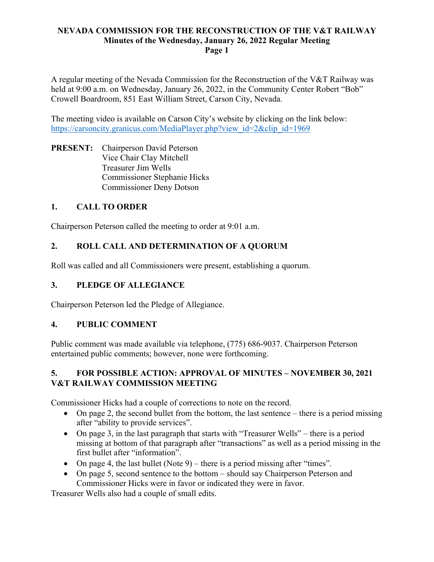A regular meeting of the Nevada Commission for the Reconstruction of the V&T Railway was held at 9:00 a.m. on Wednesday, January 26, 2022, in the Community Center Robert "Bob" Crowell Boardroom, 851 East William Street, Carson City, Nevada.

The meeting video is available on Carson City's website by clicking on the link below: https://carsoncity.granicus.com/MediaPlayer.php?view\_id=2&clip\_id=1969

**PRESENT:** Chairperson David Peterson Vice Chair Clay Mitchell Treasurer Jim Wells Commissioner Stephanie Hicks Commissioner Deny Dotson

# **1. CALL TO ORDER**

Chairperson Peterson called the meeting to order at 9:01 a.m.

# **2. ROLL CALL AND DETERMINATION OF A QUORUM**

Roll was called and all Commissioners were present, establishing a quorum.

## **3. PLEDGE OF ALLEGIANCE**

Chairperson Peterson led the Pledge of Allegiance.

#### **4. PUBLIC COMMENT**

Public comment was made available via telephone, (775) 686-9037. Chairperson Peterson entertained public comments; however, none were forthcoming.

## **5. FOR POSSIBLE ACTION: APPROVAL OF MINUTES – NOVEMBER 30, 2021 V&T RAILWAY COMMISSION MEETING**

Commissioner Hicks had a couple of corrections to note on the record.

- On page 2, the second bullet from the bottom, the last sentence there is a period missing after "ability to provide services".
- On page 3, in the last paragraph that starts with "Treasurer Wells" there is a period missing at bottom of that paragraph after "transactions" as well as a period missing in the first bullet after "information".
- On page 4, the last bullet (Note  $9$ ) there is a period missing after "times".
- On page 5, second sentence to the bottom should say Chairperson Peterson and Commissioner Hicks were in favor or indicated they were in favor.

Treasurer Wells also had a couple of small edits.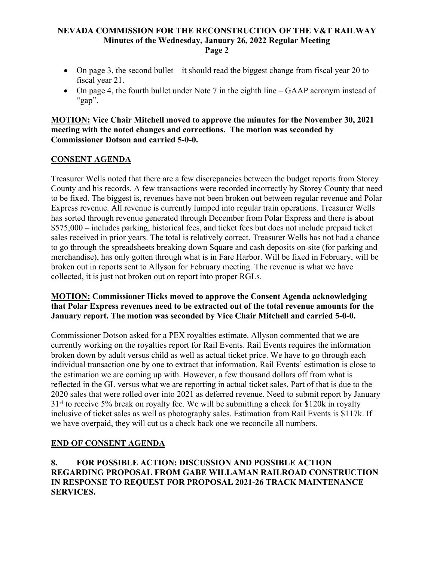- On page 3, the second bullet it should read the biggest change from fiscal year 20 to fiscal year 21.
- On page 4, the fourth bullet under Note 7 in the eighth line GAAP acronym instead of "gap".

**MOTION: Vice Chair Mitchell moved to approve the minutes for the November 30, 2021 meeting with the noted changes and corrections. The motion was seconded by Commissioner Dotson and carried 5-0-0.**

## **CONSENT AGENDA**

Treasurer Wells noted that there are a few discrepancies between the budget reports from Storey County and his records. A few transactions were recorded incorrectly by Storey County that need to be fixed. The biggest is, revenues have not been broken out between regular revenue and Polar Express revenue. All revenue is currently lumped into regular train operations. Treasurer Wells has sorted through revenue generated through December from Polar Express and there is about \$575,000 – includes parking, historical fees, and ticket fees but does not include prepaid ticket sales received in prior years. The total is relatively correct. Treasurer Wells has not had a chance to go through the spreadsheets breaking down Square and cash deposits on-site (for parking and merchandise), has only gotten through what is in Fare Harbor. Will be fixed in February, will be broken out in reports sent to Allyson for February meeting. The revenue is what we have collected, it is just not broken out on report into proper RGLs.

## **MOTION: Commissioner Hicks moved to approve the Consent Agenda acknowledging that Polar Express revenues need to be extracted out of the total revenue amounts for the January report. The motion was seconded by Vice Chair Mitchell and carried 5-0-0.**

Commissioner Dotson asked for a PEX royalties estimate. Allyson commented that we are currently working on the royalties report for Rail Events. Rail Events requires the information broken down by adult versus child as well as actual ticket price. We have to go through each individual transaction one by one to extract that information. Rail Events' estimation is close to the estimation we are coming up with. However, a few thousand dollars off from what is reflected in the GL versus what we are reporting in actual ticket sales. Part of that is due to the 2020 sales that were rolled over into 2021 as deferred revenue. Need to submit report by January  $31<sup>st</sup>$  to receive 5% break on royalty fee. We will be submitting a check for \$120k in royalty inclusive of ticket sales as well as photography sales. Estimation from Rail Events is \$117k. If we have overpaid, they will cut us a check back one we reconcile all numbers.

## **END OF CONSENT AGENDA**

## **8. FOR POSSIBLE ACTION: DISCUSSION AND POSSIBLE ACTION REGARDING PROPOSAL FROM GABE WILLAMAN RAILROAD CONSTRUCTION IN RESPONSE TO REQUEST FOR PROPOSAL 2021-26 TRACK MAINTENANCE SERVICES.**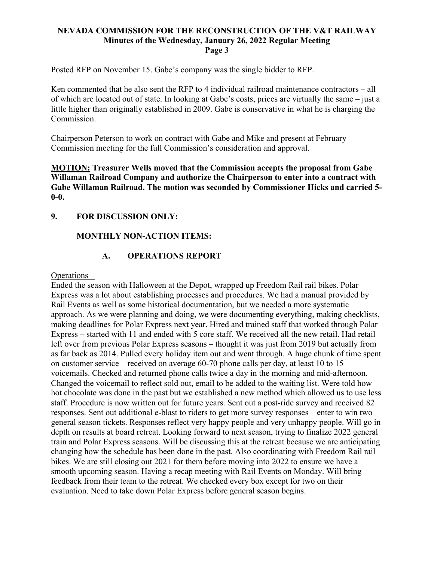Posted RFP on November 15. Gabe's company was the single bidder to RFP.

Ken commented that he also sent the RFP to 4 individual railroad maintenance contractors – all of which are located out of state. In looking at Gabe's costs, prices are virtually the same – just a little higher than originally established in 2009. Gabe is conservative in what he is charging the Commission.

Chairperson Peterson to work on contract with Gabe and Mike and present at February Commission meeting for the full Commission's consideration and approval.

### **MOTION: Treasurer Wells moved that the Commission accepts the proposal from Gabe Willaman Railroad Company and authorize the Chairperson to enter into a contract with Gabe Willaman Railroad. The motion was seconded by Commissioner Hicks and carried 5- 0-0.**

## **9. FOR DISCUSSION ONLY:**

## **MONTHLY NON-ACTION ITEMS:**

## **A. OPERATIONS REPORT**

#### Operations –

Ended the season with Halloween at the Depot, wrapped up Freedom Rail rail bikes. Polar Express was a lot about establishing processes and procedures. We had a manual provided by Rail Events as well as some historical documentation, but we needed a more systematic approach. As we were planning and doing, we were documenting everything, making checklists, making deadlines for Polar Express next year. Hired and trained staff that worked through Polar Express – started with 11 and ended with 5 core staff. We received all the new retail. Had retail left over from previous Polar Express seasons – thought it was just from 2019 but actually from as far back as 2014. Pulled every holiday item out and went through. A huge chunk of time spent on customer service – received on average 60-70 phone calls per day, at least 10 to 15 voicemails. Checked and returned phone calls twice a day in the morning and mid-afternoon. Changed the voicemail to reflect sold out, email to be added to the waiting list. Were told how hot chocolate was done in the past but we established a new method which allowed us to use less staff. Procedure is now written out for future years. Sent out a post-ride survey and received 82 responses. Sent out additional e-blast to riders to get more survey responses – enter to win two general season tickets. Responses reflect very happy people and very unhappy people. Will go in depth on results at board retreat. Looking forward to next season, trying to finalize 2022 general train and Polar Express seasons. Will be discussing this at the retreat because we are anticipating changing how the schedule has been done in the past. Also coordinating with Freedom Rail rail bikes. We are still closing out 2021 for them before moving into 2022 to ensure we have a smooth upcoming season. Having a recap meeting with Rail Events on Monday. Will bring feedback from their team to the retreat. We checked every box except for two on their evaluation. Need to take down Polar Express before general season begins.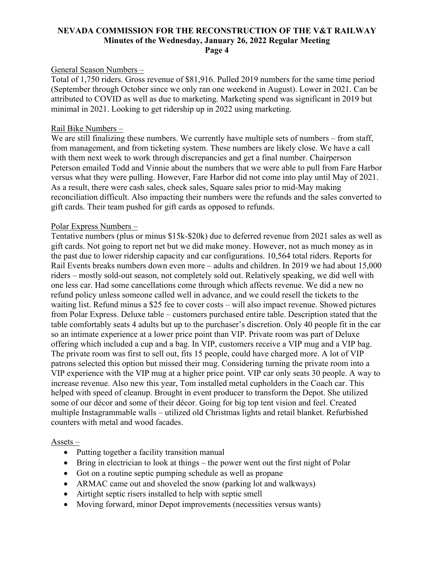#### General Season Numbers –

Total of 1,750 riders. Gross revenue of \$81,916. Pulled 2019 numbers for the same time period (September through October since we only ran one weekend in August). Lower in 2021. Can be attributed to COVID as well as due to marketing. Marketing spend was significant in 2019 but minimal in 2021. Looking to get ridership up in 2022 using marketing.

#### Rail Bike Numbers –

We are still finalizing these numbers. We currently have multiple sets of numbers – from staff, from management, and from ticketing system. These numbers are likely close. We have a call with them next week to work through discrepancies and get a final number. Chairperson Peterson emailed Todd and Vinnie about the numbers that we were able to pull from Fare Harbor versus what they were pulling. However, Fare Harbor did not come into play until May of 2021. As a result, there were cash sales, check sales, Square sales prior to mid-May making reconciliation difficult. Also impacting their numbers were the refunds and the sales converted to gift cards. Their team pushed for gift cards as opposed to refunds.

#### Polar Express Numbers –

Tentative numbers (plus or minus \$15k-\$20k) due to deferred revenue from 2021 sales as well as gift cards. Not going to report net but we did make money. However, not as much money as in the past due to lower ridership capacity and car configurations. 10,564 total riders. Reports for Rail Events breaks numbers down even more – adults and children. In 2019 we had about 15,000 riders – mostly sold-out season, not completely sold out. Relatively speaking, we did well with one less car. Had some cancellations come through which affects revenue. We did a new no refund policy unless someone called well in advance, and we could resell the tickets to the waiting list. Refund minus a \$25 fee to cover costs – will also impact revenue. Showed pictures from Polar Express. Deluxe table – customers purchased entire table. Description stated that the table comfortably seats 4 adults but up to the purchaser's discretion. Only 40 people fit in the car so an intimate experience at a lower price point than VIP. Private room was part of Deluxe offering which included a cup and a bag. In VIP, customers receive a VIP mug and a VIP bag. The private room was first to sell out, fits 15 people, could have charged more. A lot of VIP patrons selected this option but missed their mug. Considering turning the private room into a VIP experience with the VIP mug at a higher price point. VIP car only seats 30 people. A way to increase revenue. Also new this year, Tom installed metal cupholders in the Coach car. This helped with speed of cleanup. Brought in event producer to transform the Depot. She utilized some of our décor and some of their décor. Going for big top tent vision and feel. Created multiple Instagrammable walls – utilized old Christmas lights and retail blanket. Refurbished counters with metal and wood facades.

#### Assets –

- Putting together a facility transition manual
- Bring in electrician to look at things the power went out the first night of Polar
- Got on a routine septic pumping schedule as well as propane
- ARMAC came out and shoveled the snow (parking lot and walkways)
- Airtight septic risers installed to help with septic smell
- Moving forward, minor Depot improvements (necessities versus wants)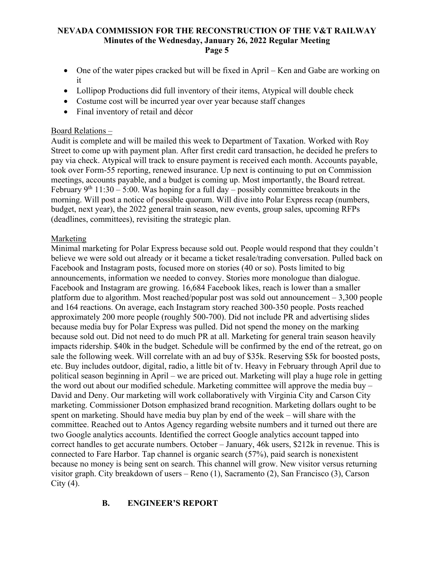- One of the water pipes cracked but will be fixed in April Ken and Gabe are working on it
- Lollipop Productions did full inventory of their items, Atypical will double check
- Costume cost will be incurred year over year because staff changes
- Final inventory of retail and décor

## Board Relations –

Audit is complete and will be mailed this week to Department of Taxation. Worked with Roy Street to come up with payment plan. After first credit card transaction, he decided he prefers to pay via check. Atypical will track to ensure payment is received each month. Accounts payable, took over Form-55 reporting, renewed insurance. Up next is continuing to put on Commission meetings, accounts payable, and a budget is coming up. Most importantly, the Board retreat. February 9<sup>th</sup> 11:30 – 5:00. Was hoping for a full day – possibly committee breakouts in the morning. Will post a notice of possible quorum. Will dive into Polar Express recap (numbers, budget, next year), the 2022 general train season, new events, group sales, upcoming RFPs (deadlines, committees), revisiting the strategic plan.

# Marketing

Minimal marketing for Polar Express because sold out. People would respond that they couldn't believe we were sold out already or it became a ticket resale/trading conversation. Pulled back on Facebook and Instagram posts, focused more on stories (40 or so). Posts limited to big announcements, information we needed to convey. Stories more monologue than dialogue. Facebook and Instagram are growing. 16,684 Facebook likes, reach is lower than a smaller platform due to algorithm. Most reached/popular post was sold out announcement  $-3,300$  people and 164 reactions. On average, each Instagram story reached 300-350 people. Posts reached approximately 200 more people (roughly 500-700). Did not include PR and advertising slides because media buy for Polar Express was pulled. Did not spend the money on the marking because sold out. Did not need to do much PR at all. Marketing for general train season heavily impacts ridership. \$40k in the budget. Schedule will be confirmed by the end of the retreat, go on sale the following week. Will correlate with an ad buy of \$35k. Reserving \$5k for boosted posts, etc. Buy includes outdoor, digital, radio, a little bit of tv. Heavy in February through April due to political season beginning in April – we are priced out. Marketing will play a huge role in getting the word out about our modified schedule. Marketing committee will approve the media buy – David and Deny. Our marketing will work collaboratively with Virginia City and Carson City marketing. Commissioner Dotson emphasized brand recognition. Marketing dollars ought to be spent on marketing. Should have media buy plan by end of the week – will share with the committee. Reached out to Antos Agency regarding website numbers and it turned out there are two Google analytics accounts. Identified the correct Google analytics account tapped into correct handles to get accurate numbers. October – January, 46k users, \$212k in revenue. This is connected to Fare Harbor. Tap channel is organic search (57%), paid search is nonexistent because no money is being sent on search. This channel will grow. New visitor versus returning visitor graph. City breakdown of users – Reno (1), Sacramento (2), San Francisco (3), Carson City  $(4)$ .

# **B. ENGINEER'S REPORT**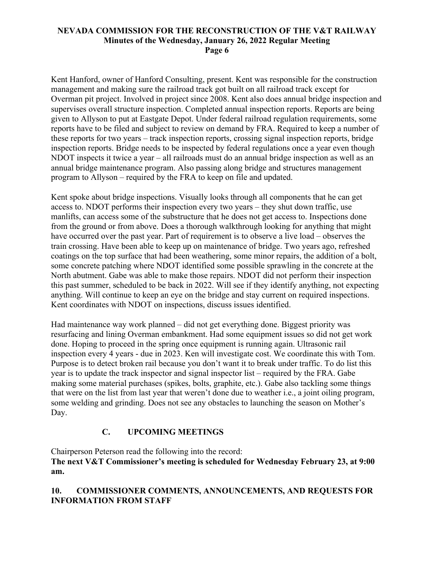Kent Hanford, owner of Hanford Consulting, present. Kent was responsible for the construction management and making sure the railroad track got built on all railroad track except for Overman pit project. Involved in project since 2008. Kent also does annual bridge inspection and supervises overall structure inspection. Completed annual inspection reports. Reports are being given to Allyson to put at Eastgate Depot. Under federal railroad regulation requirements, some reports have to be filed and subject to review on demand by FRA. Required to keep a number of these reports for two years – track inspection reports, crossing signal inspection reports, bridge inspection reports. Bridge needs to be inspected by federal regulations once a year even though NDOT inspects it twice a year – all railroads must do an annual bridge inspection as well as an annual bridge maintenance program. Also passing along bridge and structures management program to Allyson – required by the FRA to keep on file and updated.

Kent spoke about bridge inspections. Visually looks through all components that he can get access to. NDOT performs their inspection every two years – they shut down traffic, use manlifts, can access some of the substructure that he does not get access to. Inspections done from the ground or from above. Does a thorough walkthrough looking for anything that might have occurred over the past year. Part of requirement is to observe a live load – observes the train crossing. Have been able to keep up on maintenance of bridge. Two years ago, refreshed coatings on the top surface that had been weathering, some minor repairs, the addition of a bolt, some concrete patching where NDOT identified some possible sprawling in the concrete at the North abutment. Gabe was able to make those repairs. NDOT did not perform their inspection this past summer, scheduled to be back in 2022. Will see if they identify anything, not expecting anything. Will continue to keep an eye on the bridge and stay current on required inspections. Kent coordinates with NDOT on inspections, discuss issues identified.

Had maintenance way work planned – did not get everything done. Biggest priority was resurfacing and lining Overman embankment. Had some equipment issues so did not get work done. Hoping to proceed in the spring once equipment is running again. Ultrasonic rail inspection every 4 years - due in 2023. Ken will investigate cost. We coordinate this with Tom. Purpose is to detect broken rail because you don't want it to break under traffic. To do list this year is to update the track inspector and signal inspector list – required by the FRA. Gabe making some material purchases (spikes, bolts, graphite, etc.). Gabe also tackling some things that were on the list from last year that weren't done due to weather i.e., a joint oiling program, some welding and grinding. Does not see any obstacles to launching the season on Mother's Day.

# **C. UPCOMING MEETINGS**

Chairperson Peterson read the following into the record:

**The next V&T Commissioner's meeting is scheduled for Wednesday February 23, at 9:00 am.**

# **10. COMMISSIONER COMMENTS, ANNOUNCEMENTS, AND REQUESTS FOR INFORMATION FROM STAFF**